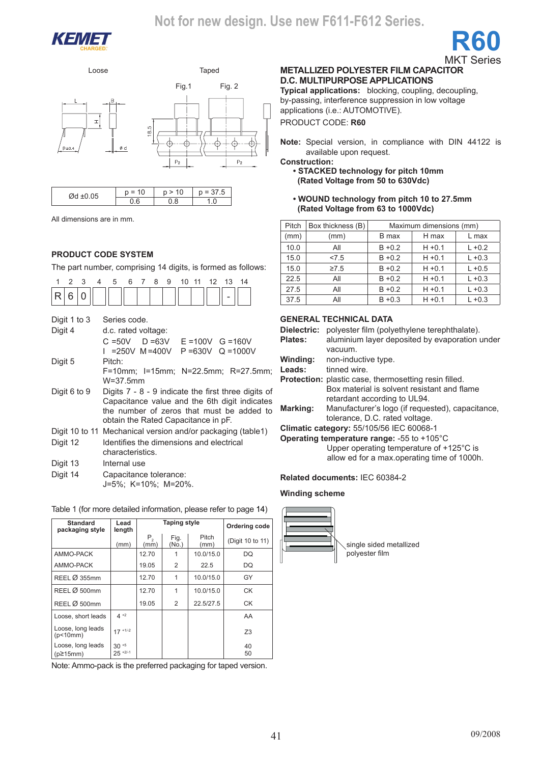

Loose Taped



| $\sim$ $-$<br>$\sim$ . | $\overline{\phantom{a}}$<br>υ | ∼ |
|------------------------|-------------------------------|---|
|                        |                               |   |

All dimensions are in mm.

### **Product code system**

The part number, comprising 14 digits, is formed as follows:

| 3<br>1<br>2<br>4<br>R<br>6<br>0                                                                       | 5<br>6<br>8<br>9<br>10 11<br>$7^{\circ}$<br>12<br>13<br>14                                                                                                                                 |  |  |  |  |  |
|-------------------------------------------------------------------------------------------------------|--------------------------------------------------------------------------------------------------------------------------------------------------------------------------------------------|--|--|--|--|--|
| Digit 1 to 3<br>Digit 4                                                                               | Series code.<br>d.c. rated voltage:<br>$C = 50V$ D = 63V E = 100V G = 160V                                                                                                                 |  |  |  |  |  |
| I =250V M=400V P=630V Q=1000V<br>Digit 5<br>Pitch:<br>F=10mm; I=15mm; N=22.5mm; R=27.5mm;<br>W=37.5mm |                                                                                                                                                                                            |  |  |  |  |  |
| Digit 6 to 9                                                                                          | Digits $7 - 8 - 9$ indicate the first three digits of<br>Capacitance value and the 6th digit indicates<br>the number of zeros that must be added to<br>obtain the Rated Capacitance in pF. |  |  |  |  |  |
| Digit 12                                                                                              | Digit 10 to 11 Mechanical version and/or packaging (table1)<br>Identifies the dimensions and electrical<br>characteristics.                                                                |  |  |  |  |  |
| Digit 13<br>Digit 14                                                                                  | Internal use<br>Capacitance tolerance:<br>J=5%; K=10%; M=20%.                                                                                                                              |  |  |  |  |  |

| Table 1 (for more detailed information, please refer to page 14) |  |  |
|------------------------------------------------------------------|--|--|
|------------------------------------------------------------------|--|--|

| <b>Standard</b><br>packaging style   | Lead<br>length                    |                 | <b>Taping style</b> | Ordering code |                  |
|--------------------------------------|-----------------------------------|-----------------|---------------------|---------------|------------------|
|                                      | (mm)                              | $P_{2}$<br>(mm) | Fig.<br>(No.)       | Pitch<br>(mm) | (Digit 10 to 11) |
| AMMO-PACK                            |                                   | 12.70           |                     | 10.0/15.0     | DQ               |
| AMMO-PACK                            |                                   | 19.05           | 2                   | 22.5          | DQ               |
| REEL Ø 355mm                         |                                   | 12.70           | 1                   | 10.0/15.0     | GY               |
| REEL Ø 500mm                         |                                   | 12.70           | 1                   | 10.0/15.0     | <b>CK</b>        |
| REEL Ø 500mm                         |                                   | 19.05           | 2                   | 22.5/27.5     | <b>CK</b>        |
| Loose, short leads                   | $4 + 2$                           |                 |                     |               | AA               |
| Loose, long leads<br>(p<10mm)        | $17 + 1/2$                        |                 |                     |               | Z3               |
| Loose, long leads<br>$(p\geq 15$ mm) | $30 + 5$<br>$25$ <sup>+2/-1</sup> |                 |                     |               | 40<br>50         |

Note: Ammo-pack is the preferred packaging for taped version.

#### MKT Series **METALLIZED POLYESTER FILM CAPACITOR D.C. MULTIPURPOSE APPLICATIONS**

**R60**

**Typical applications:** blocking, coupling, decoupling, by-passing, interference suppression in low voltage applications (i.e.: AUTOMOTIVE). PRODUCT CODE: **R60**

**Note:** Special version, in compliance with DIN 44122 is available upon request.

**Construction:**

### **• STACKED technology for pitch 10mm (Rated Voltage from 50 to 630Vdc)**

**• WOUND technology from pitch 10 to 27.5mm (Rated Voltage from 63 to 1000Vdc)**

| Pitch | Box thickness (B) | Maximum dimensions (mm) |           |           |  |  |
|-------|-------------------|-------------------------|-----------|-----------|--|--|
| (mm)  | (mm)              | B max                   | H max     | L max     |  |  |
| 10.0  | All               | $B + 0.2$               | $H + 0.1$ | $L + 0.2$ |  |  |
| 15.0  | 27.5              | $B + 0.2$               | $H + 0.1$ | $L + 0.3$ |  |  |
| 15.0  | $\geq 7.5$        | $B + 0.2$               | $H + 0.1$ | $L + 0.5$ |  |  |
| 22.5  | All               | $B + 0.2$               | $H + 0.1$ | $L + 0.3$ |  |  |
| 27.5  | All               | $B + 0.2$               | $H + 0.1$ | $L + 0.3$ |  |  |
| 37.5  | All               | $B + 0.3$               | $H + 0.1$ | $L + 0.3$ |  |  |

### **GENERAL TECHNICAL DATA**

| Dielectric:    | polyester film (polyethylene terephthalate).                 |
|----------------|--------------------------------------------------------------|
| <b>Plates:</b> | aluminium layer deposited by evaporation under               |
|                | vacuum.                                                      |
| Winding:       | non-inductive type.                                          |
| Leads:         | tinned wire                                                  |
|                | <b>Protection:</b> plastic case, thermosetting resin filled. |
|                | Box material is solvent resistant and flame                  |
|                | retardant according to UL94.                                 |
| Marking:       | Manufacturer's logo (if requested), capacitance,             |
|                | tolerance, D.C. rated voltage.                               |
|                | Climatic category: 55/105/56 IEC 60068-1                     |
|                | Operating temperature range: -55 to +105°C                   |
|                | Upper operating temperature of +125°C is                     |

allow ed for a max.operating time of 1000h.

### **Related documents:** IEC 60384-2

### **Winding scheme**

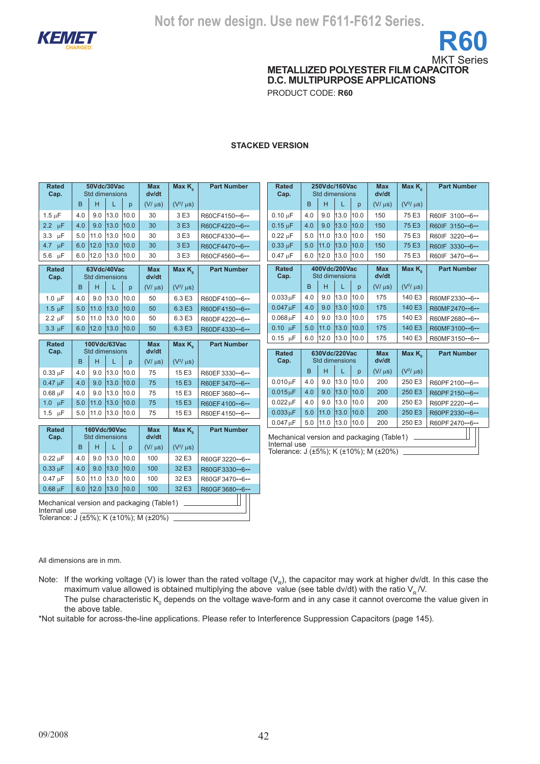

**METALLIZED POLYESTER FILM CAPACITOR D.C. MULTIPURPOSE APPLICATIONS**

PRODUCT CODE: **R60**

### **STACKED VERSION**

| <b>Rated</b><br>Cap.      |     | 50Vdc/30Vac<br>Std dimensions  |             |           | <b>Max</b><br>dv/dt | Max $K_{\circ}$  | <b>Part Number</b>               | <b>Rated</b><br>Cap.                                |     |           | 250Vdc/160Vac<br>Std dimensions |      | <b>Max</b><br>dv/dt | Max K <sub>o</sub> | <b>Part Number</b> |
|---------------------------|-----|--------------------------------|-------------|-----------|---------------------|------------------|----------------------------------|-----------------------------------------------------|-----|-----------|---------------------------------|------|---------------------|--------------------|--------------------|
|                           | B   | H                              | L           | p         | $(V/\mu s)$         | $(V^2/\mu s)$    |                                  |                                                     | B   | H         | L                               | p    | $(V/\mu s)$         | $(V^2/\mu s)$      |                    |
| $1.5 \mu F$               | 4.0 | 9.0                            | 13.0        | 10.0      | 30                  | 3 E3             | R60CF4150--6--                   | $0.10 \mu F$                                        | 4.0 | 9.0       | 13.0                            | 10.0 | 150                 | 75 E3              | R60IF 3100--6--    |
| $2.2 \mu F$               | 4.0 | 9.0                            | 13.0        | 10.0      | 30                  | 3 E3             | R60CF4220--6--                   | $0.15 \mu F$                                        | 4.0 | 9.0       | 13.0                            | 10.0 | 150                 | 75 E3              | R60IF 3150--6--    |
| $3.3 \mu F$               | 5.0 | 11.0                           | 13.0        | 10.0      | 30                  | 3 E3             | R60CF4330--6--                   | $0.22 \mu F$                                        | 5.0 | 11.0      | 13.0                            | 10.0 | 150                 | 75 E3              | R60IF 3220--6--    |
| $4.7 \mu F$               | 6.0 | 12.0                           | 13.0        | 10.0      | 30                  | 3 E3             | R60CF4470--6--                   | $0.33 \mu F$                                        | 5.0 | 11.0      | 13.0                            | 10.0 | 150                 | 75 E3              | R60IF 3330--6--    |
| $5.6$ $\mu$ F             | 6.0 | 12.0                           | 13.0 10.0   |           | 30                  | 3 E3             | R60CF4560--6--                   | $0.47 \text{ uF}$                                   | 6.0 |           | 12.0 13.0 10.0                  |      | 150                 | 75 E3              | R60IF 3470--6--    |
| <b>Rated</b><br>Cap.      |     | 63Vdc/40Vac<br>Std dimensions  |             |           | <b>Max</b><br>dv/dt | Max $K_{\alpha}$ | <b>Part Number</b>               | <b>Rated</b><br>Cap.                                |     |           | 400Vdc/200Vac<br>Std dimensions |      | <b>Max</b><br>dv/dt | Max K <sub>2</sub> | <b>Part Number</b> |
|                           | B   | H                              | L           | p         | $(V/\mu s)$         | $(V^2/\mu s)$    |                                  |                                                     | B   | H         | L                               | p    | $(V/\mu s)$         | $(V^2/\mu s)$      |                    |
| $1.0 \mu F$               | 4.0 | 9.0                            | 13.0        | 10.0      | 50                  | 6.3 E3           | R60DF4100--6--                   | $0.033\,\mathrm{uF}$                                | 4.0 | 9.0       | 13.0                            | 10.0 | 175                 | 140 E3             | R60MF2330--6--     |
| $1.5 \text{ }\mu\text{F}$ | 5.0 | 11.0                           | 13.0        | 10.0      | 50                  | 6.3 E3           | R60DF4150--6--                   | $0.047 \,\mu F$                                     | 4.0 | 9.0       | 13.0                            | 10.0 | 175                 | 140 E3             | R60MF2470--6--     |
| $2.2 \mu F$               | 5.0 | 11.0                           | 13.0        | 10.0      | 50                  | 6.3 E3           | R60DF4220--6--                   | $0.068\,\mathrm{uF}$                                | 4.0 | 9.0       | 13.0                            | 10.0 | 175                 | 140 E3             | R60MF2680--6--     |
| $3.3 \mu F$               |     | $6.0$   12.0                   | $13.0$ 10.0 |           | 50                  | 6.3 E3           | R60DF4330--6--                   | $0.10 \text{ }\mu\text{F}$                          | 5.0 | 11.0      | 13.0                            | 10.0 | 175                 | 140 E3             | R60MF3100--6--     |
| <b>Rated</b>              |     | 100Vdc/63Vac                   |             |           | <b>Max</b>          | Max $K_{a}$      | <b>Part Number</b>               | $0.15$ $\mu$ F                                      | 6.0 | 12.0 13.0 |                                 | 10.0 | 175                 | 140 E3             | R60MF3150--6--     |
| Cap.                      |     | Std dimensions                 |             |           | dv/dt               |                  |                                  | <b>Rated</b>                                        |     |           | 630Vdc/220Vac                   |      | <b>Max</b>          | Max $K_{\circ}$    | <b>Part Number</b> |
|                           | B   | H.                             | L           | p         | $(V/\mu s)$         | $(V^2/\mu s)$    |                                  | Cap.                                                |     |           | Std dimensions                  |      | dv/dt               |                    |                    |
| $0.33 \mu F$              | 4.0 | 9.0                            | 13.0        | 10.0      | 75                  | 15 E3            | R60EF3330--6--                   |                                                     | B   | H         | T.                              | p    | $(V/\mu s)$         | $(V^2/\mu s)$      |                    |
| $0.47 \mu F$              | 4.0 | 9.0                            | 13.0        | 10.0      | 75                  | 15 E3            | R60EF3470--6--                   | $0.010 \mu F$                                       | 4.0 | 9.0       | 13.0                            | 10.0 | 200                 | 250 E3             | R60PF2100--6--     |
| $0.68 \mu F$              | 4.0 | 9.0                            | 13.0        | 10.0      | 75                  | 15 E3            | R60EF3680--6--                   | $0.015\mu F$                                        | 4.0 | 9.0       | 13.0                            | 10.0 | 200                 | 250 E3             | R60PF2150--6--     |
| $1.0 \text{ }\mu\text{F}$ | 5.0 | 11.0                           | 13.0        | 10.0      | 75                  | 15 E3            | R60EF4100--6--                   | $0.022 \mu F$                                       | 4.0 | 9.0       | 13.0                            | 10.0 | 200                 | 250 E3             | R60PF 2220--6--    |
| $1.5 \text{ }\mu\text{F}$ |     | 5.0 11.0 13.0 10.0             |             |           | 75                  | 15 E3            | R60EF4150--6--                   | $0.033 \mu F$                                       | 5.0 | 11.0      | 13.0                            | 10.0 | 200                 | 250 E3             | R60PF2330--6--     |
|                           |     |                                |             |           |                     |                  |                                  | $0.047 \mu F$                                       | 5.0 |           | 11.0 13.0 10.0                  |      | 200                 | 250 E3             | R60PF 2470--6--    |
| <b>Rated</b><br>Cap.      |     | 160Vdc/90Vac<br>Std dimensions |             |           | <b>Max</b><br>dv/dt | Max $K_{\alpha}$ | <b>Part Number</b>               | Mechanical version and packaging (Table1) _________ |     |           |                                 |      |                     |                    |                    |
|                           | B   | H                              | L           | p         | $(V/\mu s)$         | $(V^2/\mu s)$    |                                  | Internal use                                        |     |           |                                 |      |                     |                    |                    |
| $0.22 \mu F$              |     |                                |             | 13.0 10.0 | 100                 | 32 E3            | R60GF3220--6--                   | Tolerance: J (±5%); K (±10%); M (±20%)              |     |           |                                 |      |                     |                    |                    |
|                           | 4.0 | 9.0                            |             |           |                     |                  |                                  |                                                     |     |           |                                 |      |                     |                    |                    |
| $0.33 \mu F$              | 4.0 | 9.0                            | 13.0        | 10.0      | 100                 | 32 E3            |                                  |                                                     |     |           |                                 |      |                     |                    |                    |
| $0.47 \text{ uF}$         | 5.0 | 11.0                           | 13.0 10.0   |           | 100                 | 32 E3            | R60GF3330--6--<br>R60GF3470--6-- |                                                     |     |           |                                 |      |                     |                    |                    |
| $0.68 \mu F$              |     | $6.0$   12.0                   | $13.0$ 10.0 |           | 100                 | 32 E3            | R60GF3680--6--                   |                                                     |     |           |                                 |      |                     |                    |                    |

All dimensions are in mm.

Note: If the working voltage (V) is lower than the rated voltage ( $V_R$ ), the capacitor may work at higher dv/dt. In this case the maximum value allowed is obtained multiplying the above value (see table dv/dt) with the ratio  $V_R$  /V. The pulse characteristic K<sub>0</sub> depends on the voltage wave-form and in any case it cannot overcome the value given in the above table.

\*Not suitable for across-the-line applications. Please refer to Interference Suppression Capacitors (page 145).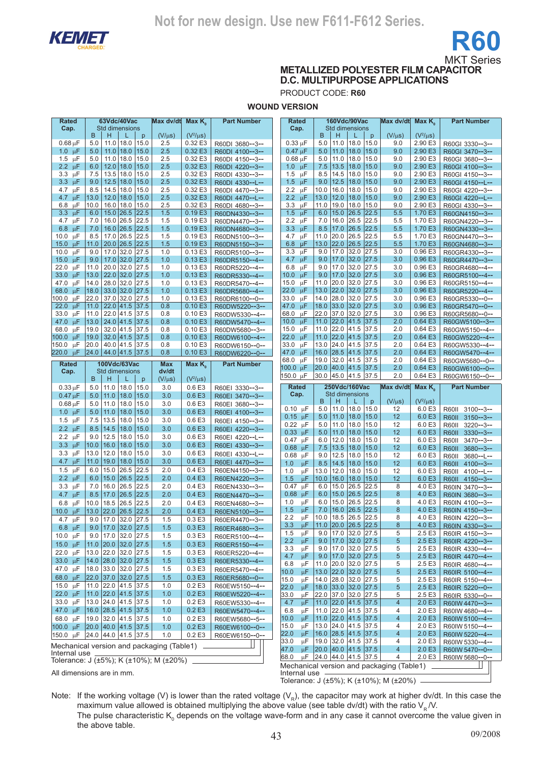

**METALLIZED POLYESTER FILM CAPACITOR D.C. MULTIPURPOSE APPLICATIONS**

PRODUCT CODE: **R60**

**WOUND VERSION**

| Rated                          | 63Vdc/40Vac                                                   | Max dv/dt   | Max $K_{\scriptscriptstyle 0}$ | <b>Part Number</b>                | Rated                         |               | 160Vdc/90Vac                                   | Max dv/dt      | Max $K_{0}$        | <b>Part Number</b>                 |
|--------------------------------|---------------------------------------------------------------|-------------|--------------------------------|-----------------------------------|-------------------------------|---------------|------------------------------------------------|----------------|--------------------|------------------------------------|
| Cap.                           | Std dimensions<br>B<br>Н<br>p<br>L                            | $(V/\mu s)$ | $(V^2/\mu s)$                  |                                   | Cap.                          | B             | <b>Std dimensions</b><br>н<br>p                | $(V/\mu s)$    | $(V^2/\mu s)$      |                                    |
| $0.68 \mu F$                   | 18.0<br>5.0<br>11.0<br>15.0                                   | 2.5         | 0.32 E3                        | R60DI 3680--3--                   | $0.33 \mu F$                  | 5.0           | 11.0<br>18.0<br>15.0                           | 9.0            | 2.90 E3            | R60GI 3330--3--                    |
| $1.0 \text{ }\mu\text{F}$      | 5.0<br>11.0<br>18.0<br>15.0                                   | 2.5         | 0.32 E3                        | R60DI 4100--3--                   | $0.47$ uF                     | 5.0           | 11.0<br>18.0<br>15.0                           | 9.0            | 2.90 E3            | R60GI 3470--3--                    |
| 1.5 $\mu$ F                    | 11.0<br>18.0<br>15.0<br>5.0                                   | 2.5         | 0.32 E3                        | R60DI 4150--3--                   | $0.68 \mu F$                  | 5.0           | 11.0<br>18.0<br>15.0                           | 9.0            | 2.90 E3            | R60GI 3680--3--                    |
| $2.2 \mu F$                    | $12.0$   18.0<br>15.0<br>6.0                                  | 2.5         | 0.32 E3                        | R60DI 4220--3--                   | $1.0 \text{ }\mu\text{F}$     | 7.5           | 13.5<br>18.0<br>15.0                           | 9.0            | 2.90 E3            | R60GI 4100--3--                    |
| 3.3<br>μF                      | 7.5<br>13.5<br>18.0<br>15.0                                   | 2.5         | 0.32 E3                        | R60DI 4330--3--                   | 1.5 $\mu$ F                   | 8.5           | 14.5<br>18.0<br>15.0                           | 9.0            | 2.90 E3            | R60GI 4150--3--                    |
| $3.3 \mu F$                    | 9.0<br>12.5 18.0<br>15.0                                      | 2.5         | 0.32 E3                        | R60DI 4330--L--                   | $1.5 \text{ }\mu\text{F}$     | 9.0           | 12.5<br>18.0<br>15.0                           | 9.0            | 2.90 E3            | R60GI 4150--L--                    |
| 4.7 $\mu$ F                    | 14.5<br>18.0<br>15.0<br>8.5                                   | 2.5         | 0.32 E3                        | R60DI 4470--3--                   | 2.2 $\mu$ F                   | 10.0          | 16.0<br>18.0<br>15.0                           | 9.0            | 2.90 E3            | R60GI 4220--3--                    |
| $\mu$ F<br>4.7<br>μF<br>6.8    | 13.0<br>12.0<br> 18.0<br>15.0<br>10.0<br>16.0<br>18.0<br>15.0 | 2.5<br>2.5  | 0.32 E3<br>0.32 E3             | R60DI 4470--L--                   | 2.2 $\mu$ F<br>3.3<br>$\mu$ F | 13.0<br>11.0  | 12.0<br>18.0<br>15.0<br>19.0<br>18.0<br>15.0   | 9.0<br>9.0     | 2.90 E3<br>2.90 E3 | R60GI 4220--L--                    |
| 3.3<br>$\mu$ F                 | 15.0 26.5<br>22.5<br>6.0                                      | 1.5         | 0.19E3                         | R60DI 4680--3--<br>R60DN4330--3-- | 1.5<br>$\mu$ F                | 6.0           | 15.0<br>26.5<br>22.5                           | 5.5            | 1.70 E3            | R60GI 4330--3--<br>R60GN4150--3--  |
| 4.7<br>μF                      | 16.0 26.5<br>7.0<br>22.5                                      | 1.5         | 0.19 E3                        | R60DN4470--3--                    | 2.2<br>μF                     | 7.0           | 16.0<br>26.5<br>22.5                           | 5.5            | 1.70 E3            | R60GN4220--3--                     |
| 6.8<br>-uF                     | 16.0 26.5<br>22.5<br>7.0                                      | 1.5         | 0.19E3                         | R60DN4680--3--                    | $3.3 \mu F$                   | 8.5           | 17.0<br> 26.5 22.5                             | 5.5            | 1.70 E3            | R60GN4330--3--                     |
| 10.0 $\mu$ F                   | 22.5<br>17.0 26.5<br>8.5                                      | 1.5         | 0.19E3                         | R60DN5100--3--                    | 4.7<br>μF                     |               | $11.0$ 20.0<br>26.5<br>22.5                    | 5.5            | 1.70 E3            | R60GN4470--3--                     |
| 15.0 $\mu$ F                   | 22.5<br>$20.0$ 26.5<br>11.0                                   | 1.5         | 0.19E3                         | R60DN5150--3--                    | 6.8<br>$\mu$ F                | 13.0          | 22.0<br>26.5 22.5                              | 5.5            | 1.70 E3            | R60GN4680--3--                     |
| 10.0<br>$\mu$ F                | 17.0 32.0<br>27.5<br>9.0                                      | 1.0         | 0.13 E3                        | R60DR5100--3--                    | 3.3<br>$\mu$ F                |               | $9.0$  17.0<br>32.0<br>27.5                    | 3.0            | 0.96 E3            | R60GR4330--3--                     |
| 15.0 $\mu$ F                   | 32.0 <br>9.0<br>17.0<br>27.5                                  | 1.0         | 0.13E3                         | R60DR5150--4--                    | 4.7 $\mu$ F                   | 9.0           | 17.0<br>32.0<br> 27.5                          | 3.0            | 0.96E3             | R60GR4470--3--                     |
| 22.0<br>μF                     | $20.0$ 32.0<br>27.5<br>11.0                                   | 1.0         | 0.13 E3                        | R60DR5220--4--                    | 6.8<br>$\mu$ F                | 9.0           | 32.0<br>17.0<br>27.5                           | 3.0            | 0.96 E3            | R60GR4680--4--                     |
| 33.0 µF                        | $22.0$ 32.0<br>13.0<br> 27.5                                  | 1.0         | 0.13E3                         | R60DR5330--4--                    | 10.0 $\mu$ F                  |               | $9.0$   17.0<br>32.0 27.5                      | 3.0            | 0.96 E3            | R60GR5100--4--                     |
| 47.0<br>μF                     | 28.0 32.0<br>14.0<br>27.5                                     | 1.0         | 0.13 E3                        | R60DR5470--4--                    | 15.0<br>$\mu$ F               | 11.0          | 20.0<br>32.0<br>27.5                           | 3.0            | 0.96 E3            | R60GR5150--4--                     |
| 68.0<br>$\mu$ F                | 18.0 33.0 32.0 27.5<br>37.0 32.0<br>27.5<br>22.0              | 1.0<br>1.0  | 0.13E3<br>0.13 E3              | R60DR5680--4--                    | $\mu$ F<br>22.0<br>μF<br>33.0 | 13.0<br>14.0  | 22.0 <br>32.0<br> 27.5<br>28.0<br>32.0<br>27.5 | 3.0<br>3.0     | 0.96 E3<br>0.96 E3 | R60GR5220--4--                     |
| 100.0<br>μF<br>22.0<br>$\mu$ F | 11.0<br>22.0   41.5<br>37.5                                   | 0.8         | 0.10E3                         | R60DR6100--0--                    | 47.0 µF                       | 18.0          | 33.0 <br>32.0<br> 27.5                         | 3.0            | 0.96E3             | R60GR5330--0--<br>R60GR5470--0--   |
| 33.0<br>μF                     | $22.0$ 41.5<br>37.5<br>11.0                                   | 0.8         | 0.10E3                         | R60DW5220--3--<br>R60DW5330--4--  | 68.0<br>μF                    | 22.0          | 37.0 <br>32.0<br>27.5                          | 3.0            | 0.96 E3            | R60GR5680--0--                     |
| 47.0<br>$\mu$ F                | 24.0   41.5<br>37.5<br>13.0                                   | 0.8         | 0.10E3                         | R60DW5470--4--                    | 10.0<br>$\mu$ F               |               | $11.0$ 22.0<br>41.5<br>37.5                    | 2.0            | 0.64E3             | R60GW5100--3--                     |
| 68.0<br>μF                     | 32.0   41.5<br>19.0<br>37.5                                   | 0.8         | 0.10E3                         | R60DW5680--3--                    | 15.0<br>μF                    |               | $11.0$ 22.0<br>41.5<br>37.5                    | 2.0            | 0.64E3             | R60GW5150--4--                     |
| $\mu$ F<br>100.0               | 19.0<br>32.0   41.5<br>37.5                                   | 0.8         | 0.10E3                         | R60DW6100--4--                    | $\mu$ F<br>22.0               | 11.0 $ 22.0$  | 41.5<br>37.5                                   | 2.0            | 0.64E3             | R60GW5220--4--                     |
| 150.0<br>μF                    | 20.0<br>40.0 41.5<br>37.5                                     | 0.8         | 0.10E3                         | R60DW6150 -- 0--                  | $\mu$ F<br>33.0               | 13.0          | 24.0<br>41.5<br>37.5                           | 2.0            | 0.64 E3            | R60GW5330--4--                     |
| 220.0<br>$\mu$ F               | 24.0 44.0 41.5 37.5                                           | 0.8         | 0.10E3                         | R60DW6220--0--                    | 47.0 µF                       | 16.0          | 28.5<br>41.5<br>37.5                           | 2.0            | 0.64E3             | R60GW5470--4--                     |
| <b>Rated</b>                   | 100Vdc/63Vac                                                  | Max         | Max $K_{0}$                    | <b>Part Number</b>                | 68.0<br>μF                    |               | 19.0 32.0<br>41.5<br>37.5                      | 2.0            | 0.64 E3            | R60GW5680--0--                     |
| Cap.                           | Std dimensions                                                | dv/dt       |                                |                                   | 100.0 $\mu$ F                 |               | 20.0 40.0 41.5 37.5                            | 2.0            | 0.64E3             | R60GW6100--0--                     |
|                                | B<br>Н<br>L<br>p                                              | $(V/\mu s)$ | $(V^2/\mu s)$                  |                                   | 150.0 µF                      |               | 30.0 45.0 41.5 37.5                            | 2.0            | 0.64 E3            | R60GW6150--0--                     |
| $0.33 \mu F$                   | 18.0<br>15.0<br>5.0<br>11.0                                   | 3.0         | 0.6 E3                         | R60EI 3330--3--                   | Rated                         |               | 250Vdc/160Vac                                  | Max dv/dt      | Max $K_{\alpha}$   | <b>Part Number</b>                 |
| $0.47 \mu F$                   | 18.0<br>5.0<br>11.0<br>15.0                                   | 3.0         | 0.6E3                          | R60EI 3470--3--                   | Cap.                          |               | <b>Std dimensions</b>                          |                |                    |                                    |
| $0.68 \mu F$                   | 11.0<br>18.0<br>15.0<br>5.0                                   | 3.0         | 0.6E3                          | R60EI 3680--3--                   |                               | B             | н<br>$\mathsf{p}$                              | $(V/\mu s)$    | $(V^2/\mu s)$      |                                    |
| $1.0 \text{ }\mu\text{F}$      | 5.0<br>11.0<br>18.0<br>15.0                                   | 3.0         | 0.6E3                          | R60EI 4100--3--                   | $0.10 \mu F$                  | 5.0           | 11.0<br>18.0<br>15.0<br>11.0<br>15.0           | 12<br>12       | 6.0 E3<br>6.0 E3   | R60II 3100--3--                    |
| 1.5 $\mu$ F                    | 15.0<br>7.5<br>13.5<br>18.0                                   | 3.0         | 0.6E3                          | R60EI 4150--3--                   | $0.15 \mu F$<br>$0.22 \mu F$  | 5.0<br>5.0    | 18.0<br>11.0<br>18.0<br>15.0                   | 12             | 6.0 E3             | R60II 3150--3--<br>R60II 3220--3-- |
| 2.2 $\mu$ F                    | 8.5<br>14.5<br>18.0<br>15.0                                   | 3.0         | 0.6E3                          | R60EI 4220--3--                   | $0.33 \mu F$                  | 5.0           | 11.0<br>18.0<br>15.0                           | 12             | 6.0 E3             | R60II 3330--3--                    |
| 2.2 $\mu$ F                    | 18.0<br>12.5<br>15.0<br>9.0                                   | 3.0         | 0.6E3                          | R60EI 4220--L--                   | $0.47 \mu F$                  | 6.0           | 12.0<br>18.0<br>15.0                           | 12             | 6.0 E3             | R60II 3470--3--                    |
| 3.3 <sub>2</sub><br>$\mu$ F    | 10.0<br>16.0<br>18.0<br>15.0                                  | 3.0         | 0.6E3                          | R60EI 4330--3--                   | $0.68$ $\mu$ F                | 7.5           | 13.5<br>18.0<br>15.0                           | 12             | 6.0 E3             | R60II 3680--3--                    |
| $3.3 \mu F$                    | 12.0<br>18.0<br>13.0<br>15.0                                  | 3.0         | 0.6E3                          | R60EI 4330--L--                   | $0.68 \mu F$                  | 9.0           | 12.5<br>18.0<br>15.0                           | 12             | 6.0 E3             | R60II 3680--L--                    |
| 4.7 $\mu$ F                    | 19.0<br>18.0<br>15.0<br>11.0                                  | 3.0         | 0.6E3                          | R60EI 4470--3--                   | $\mu$ F<br>1.0                | 8.5           | 14.5<br>18.0<br>15.0                           | 12             | 6.0 E3             | R60II 4100--3--                    |
| 1.5 $\mu$ F                    | 26.5<br>22.5<br>15.0<br>6.0                                   | 2.0         | 0.4E3                          | R60EN4150--3--                    | 1.0<br>μF                     | 13.0          | 12.0<br>18.0<br>15.0                           | 12             | 6.0 E3             | R60II 4100--L--                    |
| 2.2 $\mu$ F                    | 26.5<br>22.5<br>15.0<br>6.0                                   | 2.0         | 0.4E3                          | R60EN4220--3--                    | 1.5<br>μF                     | $10.0$   16.0 | 18.0<br>15.0                                   | 12             | 6.0 E3             | R60II 4150--3--                    |
| $3.3 \text{ }\mu\text{F}$      | 26.5<br>22.5<br>16.0<br>7.0                                   | 2.0         | 0.4E3                          | R60EN4330--3--                    | 0.47<br>μF                    | 6.0           | 22.5<br>15.0<br>26.5                           | 8              | 4.0 E3             | R60IN 3470--3--                    |
| 4.7<br>$\mu$ F                 | 22.5<br>8.5<br>17.0<br>26.5                                   | 2.0         | 0.4E3                          | R60EN4470--3--                    | $0.68$ $\mu$ F                | 6.0           | 22.5<br>15.0<br>26.5                           | 8              | 4.0 E3             | R60IN 3680--3--                    |
| $6.8 \mu F$                    | 26.5<br>22.5<br>18.5<br>10.0                                  | 2.0         | 0.4E3                          | R60EN4680--3--                    | μF<br>1.0<br>μF<br>1.5        | 6.0<br>7.0    | 15.0<br>26.5<br>22.5<br>16.0<br>26.5<br>22.5   | 8<br>8         | 4.0 E3<br>4.0 E3   | R60IN 4100--3--                    |
| 10.0 $\mu$ F                   | 22.0<br>26.5<br>22.5<br>13.0                                  | 2.0         | 0.4E3                          | R60EN5100--3--                    | $\mu$ F<br>2.2                | 10.0          | 26.5<br>18.5<br>22.5                           | 8              | 4.0 E3             | R60IN 4150--3--<br>R60IN 4220--3-- |
| 4.7 $\mu$ F                    | 17.0<br>32.0<br>9.0<br>27.5                                   | 1.5         | 0.3E3                          | R60ER4470--3--                    | 3.3<br>$\mu$ H                |               | 11.0 20.0 26.5 22.5                            | 8              | 4.0 E3             | R60IN 4330--3--                    |
| $6.8 \mu F$                    | $9.0$   17.0   32.0   27.5                                    | 1.5         | 0.3E3                          | R60ER4680--3--                    | 1.5<br>μF                     |               | $9.0$   17.0   32.0   27.5                     | 5              | 2.5 E3             | R60IR 4150--3--                    |
| 10.0 $\mu$ F                   | 9.0 17.0 32.0 27.5                                            | 1.5         | 0.3 E3                         | R60ER5100--4--                    | 2.2<br>$\mu$ F                |               | $9.0$   17.0   32.0   27.5                     | 5              | 2.5E3              | R60IR 4220--3--                    |
| 15.0 $\mu$ F                   | 11.0 20.0 32.0 27.5<br>13.0 22.0 32.0 27.5                    | 1.5         | 0.3E3                          | R60ER5150--4--                    | $\mu$ F<br>3.3                |               | 9.0 17.0 32.0 27.5                             | 5              | 2.5 E3             | R60IR 4330--4--                    |
| 22.0 µF<br>33.0 µF             | 14.0 28.0 32.0 27.5                                           | 1.5         | 0.3 E3<br>0.3E3                | R60ER5220--4--                    | 4.7<br>$\mu$ F                |               | $9.0$   17.0   32.0   27.5                     | 5              | 2.5E3              | R60IR 4470--4--                    |
| 47.0 µF                        | 18.0 33.0 32.0 27.5                                           | 1.5         |                                | R60ER5330--4--                    | μF<br>6.8                     |               | 11.0 20.0 32.0 27.5                            | 5              | 2.5 E3             | R60IR 4680--4--                    |
|                                |                                                               | 1.5         | 0.3 E3                         | R60ER5470--4--                    | 10.0<br>$\mu$ F               |               | 13.0 22.0 32.0 27.5                            | 5              | 2.5E3              | R60IR 5100--4--                    |
| 68.0 µF                        | 22.0 37.0 32.0 27.5<br>11.0 22.0 41.5 37.5                    | 1.5<br>1.0  | 0.3E3<br>0.2E3                 | R60ER5680--0--                    | 15.0<br>μF                    |               | 14.0 28.0 32.0 27.5                            | 5              | 2.5 E3             | R60IR 5150--4--                    |
| 15.0 $\mu$ F<br>22.0 µF        | 11.0 22.0 41.5 37.5                                           |             | $0.2E$ 3                       | R60EW5150--4--                    | 22.0<br>$\mu$ F               |               | 18.0 33.0 32.0 27.5                            | 5              | 2.5E3              | R60IR 5220--0--                    |
| 33.0 µF                        | 13.0 24.0 41.5 37.5                                           | 1.0         | 0.2E3                          | R60EW5220--4--                    | 33.0<br>μF                    |               | 22.0 37.0 32.0 27.5                            | 5              | 2.5 E3             | R60IR 5330--0--                    |
|                                | 16.0 28.5 41.5 37.5                                           | 1.0         | 0.2E3                          | R60EW5330--4--                    | 4.7<br>μF                     |               | 11.0 22.0 41.5 37.5<br>11.0 22.0 41.5 37.5     | 4              | 2.0 E3<br>2.0 E3   | R60IW 4470--3--                    |
| 47.0 $\mu$ F<br>68.0 µF        | 19.0 32.0 41.5 37.5                                           | 1.0         | 0.2E3                          | R60EW5470--4--                    | 6.8<br>μF<br>$\mu$ F<br>10.0  |               | 11.0 22.0 41.5 37.5                            | 4<br>4         | 2.0 E3             | R60IW 4680--4--                    |
| 100.0 µF                       | 20.0 40.0 41.5 37.5                                           | 1.0         | 0.2E3                          | R60EW5680--5--                    | 15.0<br>$\mu$ F               |               | 13.0 24.0 41.5 37.5                            | 4              | 2.0 E3             | R60IW 5100--4--<br>R60IW 5150--4-- |
| 150.0 µF                       | 24.0 44.0 41.5 37.5                                           | 1.0<br>1.0  | 0.2E3                          | R60EW6100--0--<br>R60EW6150--0--  | 22.0 <br>$\mu$ F              |               | $16.0$ 28.5 41.5 37.5                          | 4              | 2.0E3              | R60IW 5220--4--                    |
|                                |                                                               |             |                                |                                   | 33.0<br>μF                    |               | 19.0 32.0 41.5 37.5                            | 4              | 2.0E3              | R60IW 5330--4--                    |
|                                | Mechanical version and packaging (Table1)                     |             |                                |                                   | 47.0<br>$\mu$ F               |               | 20.0 40.0 41.5 37.5                            | $\overline{4}$ | 2.0E3              | R60IW 5470--0--                    |
| Internal use                   | Tolerance: J (±5%); K (±10%); M (±20%)                        |             |                                |                                   | 68.0<br>μF                    |               | 24.0 44.0 41.5 37.5                            | 4              | 2.0 E3             | R60IW 5680--0--                    |
|                                |                                                               |             |                                |                                   |                               |               | Mechanical version and packaging (Table1)      |                |                    |                                    |

All dimensions are in mm.

Internal use Tolerance: J (±5%); K (±10%); M (±20%)

Note: If the working voltage (V) is lower than the rated voltage (V<sub>R</sub>), the capacitor may work at higher dv/dt. In this case the maximum value allowed is obtained multiplying the above value (see table dv/dt) with the ratio  $V_R N$ . The pulse characteristic K<sub>0</sub> depends on the voltage wave-form and in any case it cannot overcome the value given in the above table.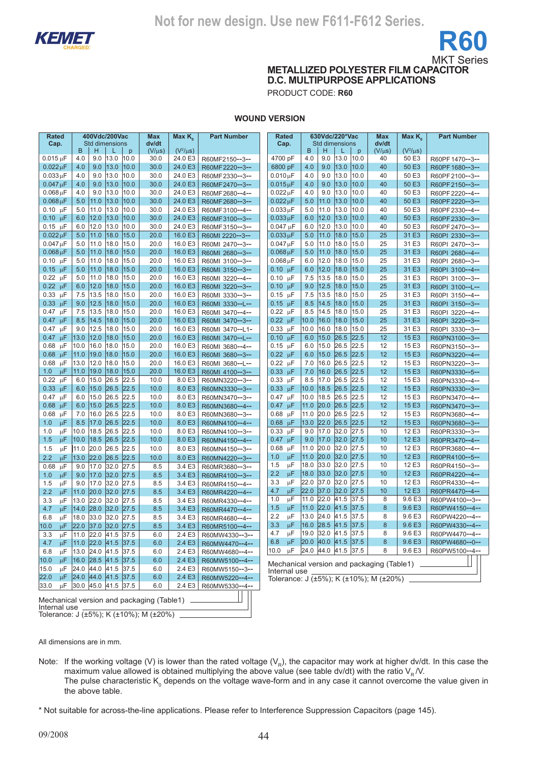



**METALLIZED POLYESTER FILM CAPACITOR D.C. MULTIPURPOSE APPLICATIONS**

PRODUCT CODE: **R60**

### **WOUND VERSION**

| <b>Rated</b>                   | 400Vdc/200Vac                                             | <b>Max</b><br>Max K                | <b>Part Number</b>               | Rated                      | 630Vdc/220*Vac                                           | <b>Max</b><br>Max K          | <b>Part Number</b>                 |
|--------------------------------|-----------------------------------------------------------|------------------------------------|----------------------------------|----------------------------|----------------------------------------------------------|------------------------------|------------------------------------|
| Cap.                           | Std dimensions                                            | dv/dt                              |                                  | Cap.                       | <b>Std dimensions</b>                                    | dv/dt                        |                                    |
|                                | B<br>H<br>L<br>p                                          | $(V^2/\mu s)$<br>$(V/\mu s)$       |                                  |                            | B<br>H<br>p                                              | $(V^2/\mu s)$<br>$(V/\mu s)$ |                                    |
| $0.015$ uF                     | 13.0<br>4.0<br>9.0<br>10.0<br>4.0<br>9.0<br>13.0<br> 10.0 | 30.0<br>24.0 E3<br>30.0<br>24.0 E3 | R60MF2150--3--                   | 4700 pF<br>6800 pF         | 4.0<br>9.0<br>13.0<br>10.0<br>4.0<br>9.0<br>13.0<br>10.0 | 40<br>50 E3<br>40<br>50 E3   | R60PF1470--3--                     |
| $0.022 \mu F$<br>$0.033 \mu F$ | 13.0<br>9.0<br>10.0<br>4.0                                | 24.0 E3<br>30.0                    | R60MF2220--3--                   | $0.010 \,\mu F$            | 4.0<br>9.0<br>13.0<br>10.0                               | 40<br>50 E3                  | R60PF1680--3--                     |
| $0.047 \mu F$                  | 9.0<br>13.0<br>10.0<br>4.0                                | 30.0<br>24.0 E3                    | R60MF2330--3--                   | $0.015 \mu F$              | 13.0<br>4.0<br>9.0<br>10.0                               | 40<br>50 E3                  | R60PF2100--3--                     |
| $0.068 \mu F$                  | 9.0<br>13.0<br>10.0<br>4.0                                | 30.0<br>24.0 E3                    | R60MF2470--3--                   | $0.022 \,\mu F$            | 13.0<br>4.0<br>9.0<br>10.0                               | 40<br>50 E3                  | R60PF2150--3--                     |
| $0.068 \mu F$                  | 5.0<br>11.0<br>13.0<br>10.0                               | 30.0<br>24.0 E3                    | R60MF2680--4--                   | $0.022 \mu F$              | 5.0<br>11.0<br>13.0<br>10.0                              | 40<br>50 E3                  | R60PF 2220--4--                    |
| $0.10 \mu F$                   | 13.0<br>5.0<br>11.0<br>10.0                               | 30.0<br>24.0 E3                    | R60MF2680--3--                   | $0.033 \,\mu F$            | 13.0<br>5.0<br>11.0<br>10.0                              | 40<br>50 E3                  | R60PF 2220--3--                    |
| $0.10 \text{ }\mu\text{F}$     | 12.0<br>13.0<br>10.0<br>6.0                               | 30.0<br>24.0 E3                    | R60MF3100--4--                   | $0.033 \mu F$              | 13.0<br>12.0<br>10.0<br>6.0                              | 40<br>50 E3                  | R60PF 2330--4--                    |
| $0.15 \mu F$                   | 12.0<br>13.0<br>6.0<br>10.0                               | 30.0<br>24.0 E3                    | R60MF3100--3--<br>R60MF3150--3-- | $0.047 \mu F$              | 12.0<br>13.0<br>10.0<br>6.0                              | 40<br>50 E3                  | R60PF 2330--3--<br>R60PF 2470--3-- |
| $0.022 \mu F$                  | 11.0<br>18.0<br>5.0<br>15.0                               | 20.0<br>16.0 E3                    | R60MI 2220--3--                  | $0.033 \mu F$              | 11.0<br>18.0<br>15.0<br>5.0                              | 25<br>31 E3                  | R60PI 2330--3--                    |
| $0.047 \mu F$                  | 11.0<br>18.0<br>15.0<br>5.0                               | 20.0<br>16.0 E3                    | R60MI 2470--3--                  | $0.047 \mu F$              | 18.0<br>5.0<br>11.0<br>15.0                              | 25<br>31 E3                  | R60PI 2470--3--                    |
| $0.068 \,\mu F$                | 11.0<br>18.0<br>15.0<br>5.0                               | 16.0 E3<br>20.0                    | R60MI 2680--3--                  | $0.068 \mu F$              | 18.0<br>15.0<br>5.0<br>11.0                              | 25<br>31 E3                  | R60PI 2680--4--                    |
| $0.10 \mu F$                   | 11.0<br>18.0<br>15.0<br>5.0                               | 20.0<br>16.0 E3                    | R60MI 3100--3--                  | $0.068 \mu F$              | 6.0<br>12.0<br>18.0<br>15.0                              | 25<br>31 E3                  | R60PI 2680--3--                    |
| $0.15 \mu F$                   | 5.0<br>11.0<br>18.0<br>15.0                               | 20.0<br>16.0 E3                    | R60MI 3150--3--                  | $0.10 \mu F$               | 12.0<br>18.0<br>6.0<br>15.0                              | 25<br>31 E3                  | R60PI 3100--4--                    |
| $0.22 \mu F$                   | 5.0<br>11.0<br>18.0<br>15.0                               | 20.0<br>16.0 E3                    | R60MI 3220--4--                  | $0.10 \mu F$               | 13.5<br>15.0<br>7.5<br>18.0                              | 25<br>31 E3                  | R60PI 3100--3--                    |
| $0.22 \mu F$                   | 12.0<br>18.0<br>15.0<br>6.0                               | 20.0<br>16.0 E3                    | R60MI 3220--3--                  | $0.10 \mu F$               | 12.5<br>18.0<br>15.0<br>9.0                              | 25<br>31 E3                  | R60PI 3100--L--                    |
| $0.33 \mu F$                   | 13.5<br>7.5<br>18.0<br>15.0                               | 20.0<br>16.0 E3                    | R60MI 3330--3--                  | $0.15 \mu F$               | 7.5<br>13.5<br>18.0<br>15.0                              | 25<br>31 E3                  | R60PI 3150--4--                    |
| $0.33 \mu F$                   | 12.5<br>15.0<br>9.0<br>18.0                               | 20.0<br>16.0 E3                    | R60MI 3330--L--                  | $0.15 \mu F$               | 18.0<br>8.5<br>14.5<br>15.0                              | 25<br>31 E3                  | R60PI 3150--3--                    |
| 0.47<br>μF                     | 13.5<br>18.0<br>7.5<br>15.0                               | 20.0<br>16.0 E3                    | R60MI 3470--4--                  | $0.22 \mu F$               | 14.5<br>18.0<br>8.5<br>15.0                              | 25<br>31 E3                  | R60PI 3220--4--                    |
| $0.47 \mu F$                   | 8.5<br>14.5<br>18.0<br>15.0                               | 20.0<br>16.0 E3                    | R60MI 3470--3--                  | $0.22 \mu F$               | 10.0<br>16.0<br>18.0<br>15.0                             | 25<br>31 E3                  | R60PI 3220--3--                    |
| $\mu$ F<br>0.47                | 12.5<br>9.0<br>18.0<br>15.0                               | 20.0<br>16.0 E3                    | R60MI 3470--L1-                  | $0.33 \mu F$               | 10.0<br>16.0<br>18.0<br>15.0                             | 25<br>31 E3                  |                                    |
| 0.47<br>μF                     | 12.0<br>13.0<br>18.0<br>15.0                              | 20.0<br>16.0 E3                    | R60MI 3470--L--                  | 0.10<br>-uF                | 6.0<br>15.0<br>26.5<br>22.5                              | 12<br>15 E3                  | R60PI 3330--3--<br>R60PN3100--3--  |
| 0.68<br>μF                     | 16.0<br>18.0<br>15.0<br>10.0                              | 20.0<br>16.0 E3                    | R60MI 3680--4--                  | $0.15 \mu F$               | 15.0<br>26.5<br>22.5<br>6.0                              | 12<br>15 E3                  | R60PN3150--3--                     |
| 0.68<br>μF                     | 19.0<br>18.0<br>15.0<br>11.0                              | 20.0<br>16.0 E3                    | R60MI 3680--3--                  | $0.22 \text{ }\mu\text{F}$ | 15.0<br>26.5<br> 22.5<br>6.0                             | 12<br>15 E3                  | R60PN3220--4--                     |
| 0.68<br>μF                     | 12.0<br>18.0<br>15.0<br>13.0                              | 20.0<br>16.0 E3                    | R60MI 3680--L--                  | $0.22 \mu F$               | 7.0<br>16.0<br>26.5<br>22.5                              | 12<br>15 E3                  | R60PN3220--3--                     |
| 1.0<br>μF                      | 19.0<br>11.0<br>18.0<br> 15.0                             | 20.0<br>16.0 E3                    | R60MI 4100--3--                  | $0.33 \mu F$               | 16.0<br>26.5<br> 22.5<br>7.0                             | 12<br>15 E3                  | R60PN3330--5--                     |
| 0.22<br>μF                     | 26.5<br>22.5<br>6.0<br>15.0                               | 10.0<br>8.0 E3                     | R60MN3220--3--                   | $0.33 \mu F$               | 26.5<br>22.5<br>8.5<br>17.0                              | 12<br>15 E3                  | R60PN3330--4--                     |
| 0.33<br>$\mu$ F                | 26.5<br>15.0<br> 22.5 <br>6.0                             | 10.0<br>8.0 E3                     | R60MN3330--3--                   | $0.33$ $\mu$ F             | 10.0<br>18.5<br>26.5<br> 22.5                            | 12<br>15 E3                  | R60PN3330--3--                     |
| $0.47 \mu F$                   | 6.0<br>15.0<br>26.5<br>22.5                               | 10.0<br>8.0 E3                     | R60MN3470--3--                   | $0.47 \mu F$               | 10.0<br>18.5<br>26.5<br>22.5                             | 12<br>15 E3                  | R60PN3470--4--                     |
| 0.68<br>$\mu$ F                | 26.5<br>6.0<br>15.0<br> 22.5                              | 10.0<br>8.0 E3                     | R60MN3680--4--                   | $0.47 \mu F$               | 26.5<br>11.0<br> 20.0<br> 22.5                           | 12<br>15 E3                  | R60PN3470--3--                     |
| 0.68<br>μF                     | 16.0<br>26.5<br>22.5<br>7.0                               | 10.0<br>8.0 E3                     | R60MN3680--3--                   | $0.68 \mu F$               | 20.0<br>22.5<br>11.0<br>26.5                             | 12<br>15 E3                  | R60PN3680--4--                     |
| 1.0<br>$\mu$ F                 | 8.5<br>17.0<br>26.5<br> 22.5                              | 10.0<br>8.0 E3                     | R60MN4100--4--                   | $0.68$ $\mu$ F             | 22.0<br>22.5<br>13.0<br>26.5                             | 12<br>15 E3                  | R60PN3680--3--                     |
| 1.0<br>μF                      | 18.5<br>10.0<br>26.5<br>22.5                              | 10.0<br>8.0 E3                     | R60MN4100--3--                   | 0.33<br>$\mu$ F            | 17.0<br>32.0<br>27.5<br>9.0                              | 10<br>12 E3                  | R60PR3330--3--                     |
| 1.5<br>μF                      | 10.0<br>18.5<br>26.5<br> 22.5                             | 10.0<br>8.0 E3                     | R60MN4150--4--                   | $0.47 \mu F$               | 32.0<br>9.0<br>17.0<br> 27.5                             | 10<br>12 E3                  | R60PR3470--4--                     |
| 1.5<br>μF                      | 11.0<br>20.0<br>26.5<br>22.5                              | 10.0<br>8.0 E3                     | R60MN4150--3--                   | μF<br>0.68                 | 20.0<br>32.0<br>27.5<br>11.0                             | 10<br>12 E3                  | R60PR3680--4--                     |
| 2.2<br>μF                      | 22.0 <br>26.5<br> 22.5<br>13.0                            | 10.0<br>8.0 E3                     |                                  | 1.0<br>μF                  | 32.0<br>11.0<br> 20.0<br> 27.5                           | 10<br>12 E3                  | R60PR4100--5--                     |
| μF<br>0.68                     | 17.0<br>32.0<br>27.5<br>9.0                               | 8.5<br>3.4 E3                      | R60MN4220--3--                   | μF<br>1.5                  | 33.0<br>32.0<br>18.0<br>27.5                             | 10<br>12 E3                  | R60PR4150--3--                     |
| 1.0<br>μF                      | 17.0<br>32.0<br>9.0<br> 27.5                              | 8.5<br>3.4 E3                      | R60MR3680--3--                   | 2.2<br>$\mu$ F             | 33.0<br>32.0<br>27.5<br>18.0                             | 10<br>12 E3                  | R60PR4220--4--                     |
| 1.5<br>μF                      | 17.0<br>32.0<br>9.0<br>27.5                               | 8.5<br>3.4 E3                      | R60MR4100--3--                   | μF<br>3.3                  | 22.0<br>37.0<br>32.0<br>27.5                             | 10<br>12 E3                  | R60PR4330--4--                     |
| 2.2<br>μF                      | 32.0<br> 20.0 <br> 27.5<br>11.0                           | 8.5<br>3.4 E3                      | R60MR4150--4--                   | μF<br>4.7                  | 22.0 <br> 32.0 <br> 37.0 <br> 27.5                       | 10<br>12 E3                  | R60PR4470--4--                     |
| μF<br>3.3                      | 22.0<br>32.0<br>13.0<br>27.5                              | 8.5<br>3.4 E3                      | R60MR4220--4--                   | μF<br>1.0                  | 22.0<br>41.5<br>11.0<br>37.5                             | 8<br>9.6 E3                  | R60PW4100--3--                     |
| 4.7<br>μF                      | 28.0<br>32.0<br>14.0<br> 27.5                             | 8.5<br>3.4E                        | R60MR4330--4--                   | 1.5<br>μF                  | 22.0 <br>41.5<br> 37.5<br>11.0                           | 8<br>9.6 E3                  | R60PW4150--4--                     |
| μF<br>6.8                      | 33.0<br>32.0<br>27.5<br>18.0                              | 8.5<br>3.4 E3                      | R60MR4470--4--                   | 2.2<br>$\upmu\text{F}$     | 13.0<br>24.0<br>41.5<br>37.5                             | 8<br>9.6 E3                  | R60PW4220--4--                     |
| $\mu$ F<br> 10.0               | 22.0<br> 37.0 32.0 27.5                                   | 8.5<br>3.4E3                       | R60MR4680--4--                   | 3.3<br>μF                  | 28.5<br>41.5<br>16.0<br> 37.5                            | 8<br>9.6 E3                  | R60PW4330--4--                     |
| 3.3<br>μF                      | 11.0<br>22.0 41.5 37.5                                    | 6.0<br>2.4 E3                      | R60MR5100--4--                   | цF<br>4.7                  | 19.0<br>32.0<br>41.5<br>37.5                             | 8<br>9.6 E3                  | R60PW4470--4--                     |
|                                | 4.7 $\mu$ F 11.0 22.0 41.5 37.5                           | 6.0                                | R60MW4330--3--                   |                            | 6.8 $\mu$ F 20.0 40.0 41.5 37.5                          | 9.6 E3<br>8                  | R60PW4680 -- 0--                   |
|                                | 6.8 $\mu$ F 13.0 24.0 41.5 37.5                           | 2.4E3<br>2.4 E3<br>6.0             | R60MW4470--4--                   | 10.0 µF                    | 24.0 44.0 41.5 37.5                                      | 8<br>9.6 E3                  | R60PW5100--4--                     |
|                                | $10.0 \quad \mu$ F 16.0 28.5 41.5 37.5                    | 6.0<br>2.4E3                       | R60MW4680--4--                   |                            |                                                          |                              |                                    |
|                                | $15.0 \quad \mu$ F 24.0 44.0 41.5 37.5                    | 6.0<br>2.4E3                       | R60MW5100--4--                   |                            | Mechanical version and packaging (Table1) ______         |                              |                                    |
|                                | 22.0 µF 24.0 44.0 41.5 37.5                               |                                    | R60MW5150--3--                   | Internal use               |                                                          |                              |                                    |
|                                | $33.0$ µF 30.0 45.0 41.5 37.5                             | 6.0                                | 2.4 E3   R60MW5220--4--          |                            | Tolerance: $J (±5%)$ ; K (±10%); M (±20%) _              |                              |                                    |
|                                |                                                           | 6.0                                | 2.4 E3   R60MW5330--4--          |                            |                                                          |                              |                                    |
| Internal use _                 | Mechanical version and packaging (Table1) ____            |                                    |                                  |                            |                                                          |                              |                                    |

Tolerance: J (±5%); K (±10%); M (±20%)

All dimensions are in mm.

Note: If the working voltage (V) is lower than the rated voltage ( $V_R$ ), the capacitor may work at higher dv/dt. In this case the maximum value allowed is obtained multiplying the above value (see table dv/dt) with the ratio  $V_B N$ . The pulse characteristic K<sub>0</sub> depends on the voltage wave-form and in any case it cannot overcome the value given in the above table.

\* Not suitable for across-the-line applications. Please refer to Interference Suppression Capacitors (page 145).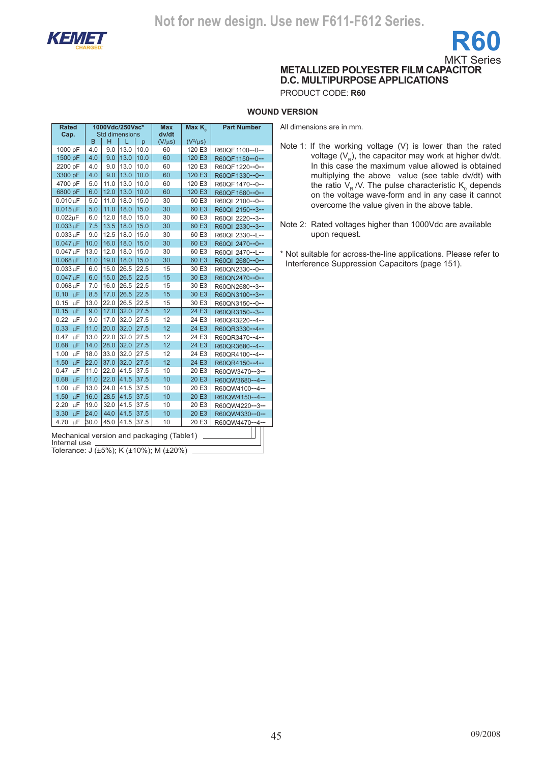

**Rated Cap.**

**1000Vdc/250Vac\*** 

**Max** 



**METALLIZED POLYESTER FILM CAPACITOR D.C. MULTIPURPOSE APPLICATIONS**

PRODUCT CODE: **R60**

### **WOUND VERSION**

All dimensions are in mm.

Std dimensions<br> $B \mid H \mid L \mid p$ **dv/dt**  $\begin{array}{|c|c|c|c|c|c|}\n\hline\nB & H & L & p & (V/\mu s) & (V^2/\mu s) \\
\hline\n4.0 & 9.0 & 13.0 & 10.0 & 60 & 120 & E3\n\end{array}$  $(V^2/\mu s)$ 1000 pF 4.0 9.0 13.0 10.0 60 120 E3 R60QF1100--0--<br>1500 pF 4.0 9.0 13.0 10.0 60 120 E3 R60QF1150--0--1500 pF 4.0 9.0 13.0 10.0 60 120 E3 R60QF1150--0-- 2200 pF 4.0 9.0 13.0 10.0 60 120 E3 R60QF1220--0--<br>3300 pF 4.0 9.0 13.0 10.0 60 120 E3 R60QF1330--0--3300 pF 4.0 9.0 13.0 10.0 60 120 E3 R60QF1330--0--<br>4700 pF 5.0 11.0 13.0 10.0 60 120 E3 R60QF1470--0--4700 pF 5.0 11.0 13.0 10.0 60 120 E3 R60QF1470--0--<br>6800 pF 6.0 12.0 13.0 10.0 60 120 E3 R60QF1680--0--6800 pF 6.0 12.0 13.0 10.0 60 120 E3 R60QF 1680--0--<br>0.010 uF 5.0 11.0 18.0 15.0 30 60 E3 R60QI 2100--0-- $0.010 \mu$ F 5.0 11.0 18.0 15.0 30 60 E3 R60QI 2100--0--<br> $0.015 \mu$ F 5.0 11.0 18.0 15.0 30 60 E3 R60QI 2150--3-- $0.015 \mu$ F 5.0 11.0 18.0 15.0 30 60 E3 R60QI 2150--3--<br>0.022uF 6.0 12.0 18.0 15.0 30 60 E3 R60QL 2220--3-- $0.022 \mu$ F 6.0 12.0 18.0 15.0 30 60 E3 R60QI 2220--3--<br> $0.033 \mu$ F 7.5 13.5 18.0 15.0 30 60 E3 R60QI 2330--3-- $0.033 \mu F$  7.5 13.5 18.0 15.0 30 60 E3 R60QI 2330--3--<br> $0.033 \mu F$  9.0 12.5 18.0 15.0 30 60 E3 R60QI 2330--L-- $0.033 \mu F$  9.0 12.5 18.0 15.0 30 60 E3 R60QI 2330--L--<br> $0.047 \mu F$  10.0 16.0 18.0 15.0 30 60 E3 R60QI 2470--0-- $0.047 \mu$ F 10.0 16.0 16.0 15.0 30 60 E3 R60QI 2470--0--<br> $0.047 \mu$ F 13.0 12.0 18.0 15.0 30 60 E3 R60QI 2470--L-- $0.047 \mu$ F 13.0 12.0 18.0 15.0 30 60 E3 R60QI 2470--L--<br>0.068  $\mu$ F 11.0 19.0 18.0 15.0 30 60 E3 R60QI 2680--0--R60QI 2680--0-- $0.033 \mu$ F 6.0 15.0 26.5 22.5 15 30 E3 R60QN2330--0--<br> $0.047 \mu$ F 6.0 15.0 26.5 22.5 15 30 E3 R60QN2470--0-- $0.047 \mu$ F 6.0 15.0 26.5 22.5 15 30 E3 R60QN2470--0--<br> $0.068 \mu$ F 7.0 16.0 26.5 22.5 15 30 E3 R60QN2680--3-- $0.068 \,\mu$ F 7.0 16.0 26.5 22.5 15 30 E3 R60QN2680--3--<br>0.10  $\mu$ F 8.5 17.0 26.5 22.5 15 30 E3 R60QN3100--3-- $0.10 \text{ }\mu\text{F}$  8.5 17.0 26.5 22.5 15 30 E3 R60QN3100--3--<br>0.15  $\mu\text{F}$  13.0 22.0 26.5 22.5 15 30 E3 R60QN3150--0--0.15 µF 13.0 22.0 26.5 22.5 15 30 E3 R60QN3150--0--<br>0.15 µF 9.0 17.0 32.0 27.5 12 24 E3 R60QR3150--3--0.15  $\mu$ F 9.0 17.0 32.0 27.5 12 24 E3 R60QR3150--3-<br>0.22  $\mu$ F 9.0 17.0 32.0 27.5 12 24 E3 R60QR3220--4- $0.22 \text{ }\mu\text{F}$  9.0 17.0 32.0 27.5 12 24 E3 R60QR3220--4--<br> $0.33 \text{ }\mu\text{F}$  11.0 20.0 32.0 27.5 12 24 E3 R60QR3330--4--0.33  $\mu$ F | 11.0 | 20.0 | 32.0 | 27.5 | 12 | 24 E3 | R60QR3330--4--<br>0.47  $\mu$ F | 13.0 | 22.0 | 32.0 | 27.5 | 12 | 24 E3 | R60QR3470--4- $0.47 \text{ }\mu\text{F}$  13.0 22.0 32.0 27.5 12 24 E3 R60QR3470--4--<br>0.68  $\mu\text{F}$  14.0 28.0 32.0 27.5 12 24 E3 R60QR3680--4--0.68 µF 14.0 28.0 32.0 27.5 12 24 E3 R60QR3680--4--<br>1.00 µF 18.0 33.0 32.0 27.5 12 24 E3 R60QR4100--4--1.00 µF 18.0 33.0 32.0 27.5 12 24 E3 R60QR4100--4--<br>1.50 µF 22.0 37.0 32.0 27.5 12 24 E3 R60QR4150--4--1.50  $\mu$ F 22.0 37.0 32.0 27.5 12 24 E3 R60QR4150--4--<br>0.47  $\mu$ F 11.0 22.0 41.5 37.5 10 20 E3 R60QW3470--3--0.47 µF 11.0 22.0 41.5 37.5 10 20 E3 R60QW3470--3--<br>0.68 µF 11.0 22.0 41.5 37.5 10 20 E3 R60QW3680--4--

10 20 E3 R60QW4150--4--<br>10 20 E3 R60QW4220--3--

**Max K. Part Number** 

- Note 1: If the working voltage (V) is lower than the rated voltage  $(V_{\rm p})$ , the capacitor may work at higher dv/dt. In this case the maximum value allowed is obtained multiplying the above value (see table dv/dt) with the ratio  $V_R$  /V. The pulse characteristic  $K_0$  depends on the voltage wave-form and in any case it cannot overcome the value given in the above table.
- Note 2: Rated voltages higher than 1000Vdc are available upon request.

\* Not suitable for across-the-line applications. Please refer to Interference Suppression Capacitors (page 151).

Mechanical version and packaging (Table1) Internal use

0.68  $\mu$ F 11.0 22.0 41.5 37.5 10 20 E3 R60QW3680--4-<br>1.00  $\mu$ F 13.0 24.0 41.5 37.5 10 20 E3 R60QW4100--4-1.00 µF 13.0 24.0 41.5 37.5 10 20 E3 R60QW4100--4--<br>1.50 µF 16.0 28.5 41.5 37.5 10 20 E3 R60QW4150--4--

2.20  $\mu$ F 19.0 32.0 41.5 37.5 10 20 E3 R60QW4220--3--<br>3.30  $\mu$ F 24.0 44.0 41.5 37.5 10 20 E3 R60QW4330--0--3.30 μF 24.0 |44.0 |41.5 |37.5 | 10 | 20 E3 | R60QW4330--0--4.70 μF 30.0 |45.0 |41.5 |37.5 | 10 20 E3 | R60QW4470--4--

Tolerance: J (±5%); K (±10%); M (±20%)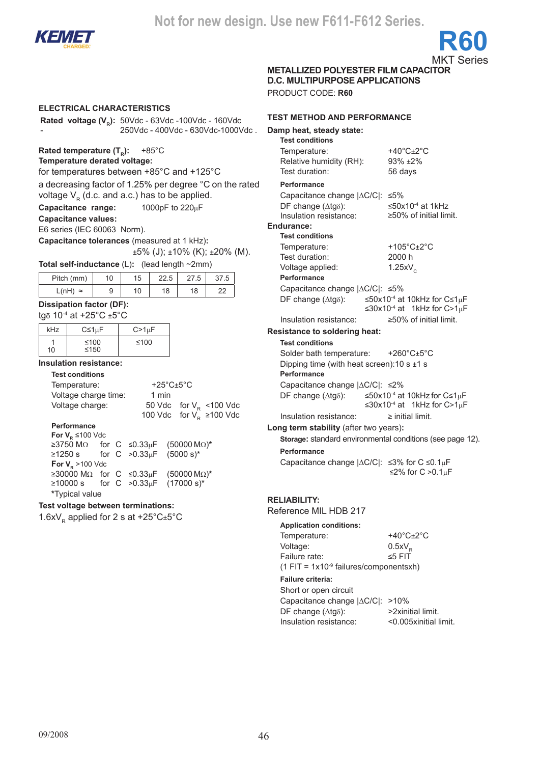

**METALLIZED POLYESTER FILM CAPACITOR** 

**D.C. MULTIPURPOSE APPLICATIONS**

PRODUCT CODE: **R60**

### **electrical characteristics**

**Rated voltage (V<sub>p</sub>):** 50Vdc - 63Vdc -100Vdc - 160Vdc - 250Vdc - 400Vdc - 630Vdc-1000Vdc .

**Rated temperature (T<sub>R</sub>): +85°C** 

### **Temperature derated voltage:**

for temperatures between +85°C and +125°C

a decreasing factor of 1.25% per degree °C on the rated

voltage  $V_R$  (d.c. and a.c.) has to be applied.<br>**Capacitance range:** 1000pF to 220uF **Capacitance range:** 

### **Capacitance values:**

E6 series (IEC 60063 Norm).

**Capacitance tolerances** (measured at 1 kHz)**:**

 $±5\%$  (J);  $±10\%$  (K);  $±20\%$  (M).

**Total self-inductance** (L)**:** (lead length ~2mm)

|                    |    | . .<br>__<br>__ | -    |      |      |
|--------------------|----|-----------------|------|------|------|
| Pitch (mm)         | 10 | 15              | 22.5 | 27.5 | 5.71 |
| L(nH)<br>$\approx$ | y  | 10              | 18   | 18   | ົ    |

### **Dissipation factor (DF):**

tgδ 10-4 at +25°C ±5°C

| kHz | $C \leq 1 \mu F$ | $C>1\mu F$ |
|-----|------------------|------------|
| 10  | ≤100<br>≤150     | ≤100       |

### **Insulation resistance:**

### **Test conditions**

Temperature: +25°C±5°C Voltage charge time: 1 min Voltage charge:  $50$  Vdc for  $V_R$  <100 Vdc 100 Vdc for  $V_R^2$  ≥100 Vdc

### **Performance**

| For $V_{\rm B} \le 100$ Vdc        |                    |  |  |                                     |  |  |  |  |  |
|------------------------------------|--------------------|--|--|-------------------------------------|--|--|--|--|--|
|                                    |                    |  |  | ≥3750 MΩ for C ≤0.33μF (50000 MΩ)*  |  |  |  |  |  |
| ≥1250 s for C >0.33μF (5000 s)*    |                    |  |  |                                     |  |  |  |  |  |
|                                    | For $V_p$ >100 Vdc |  |  |                                     |  |  |  |  |  |
|                                    |                    |  |  | ≥30000 MΩ for C ≤0.33μF (50000 MΩ)* |  |  |  |  |  |
| ≥10000 s for C > 0.33μF (17000 s)* |                    |  |  |                                     |  |  |  |  |  |
| *Typical value                     |                    |  |  |                                     |  |  |  |  |  |

### **Test voltage between terminations:**

1.6xV<sub>R</sub> applied for 2 s at +25 $^{\circ}$ C $\pm$ 5 $^{\circ}$ C

### **test method and performance Damp heat, steady state: Test conditions** Temperature: +40°C+2°C Relative humidity (RH): 93% ±2% Test duration: 56 days **Performance** Capacitance change |∆C/C|: ≤5% DF change  $(\Delta t g \delta)$ :  $\leq 50 \times 10^{-4}$  at 1kHz<br>Insulation resistance:  $\geq 50\%$  of initial limit. Insulation resistance: **Endurance: Test conditions** Temperature: +105°C±2°C Test duration: 2000 h Voltage applied:  $1.25xV<sub>c</sub>$ **Performance** Capacitance change |∆C/C|: ≤5% DF change (Δtgδ): ≤50x10<sup>-4</sup> at 10kHz for C≤1μF ≤30x10<sup>-4</sup> at 1kHz for C>1µF Insulation resistance: ≥50% of initial limit. **Resistance to soldering heat: Test conditions** Solder bath temperature: +260°C±5°C Dipping time (with heat screen): 10 s  $\pm$ 1 s **Performance**  Capacitance change |∆C/C|: ≤2% DF change (∆tgδ): ≤50x10-4 at 10kHz for C≤1µF ≤30x10<sup>-4</sup> at 1kHz for C>1uF Insulation resistance: ≥ initial limit. **Long term stability** (after two years)**: Storage:** standard environmental conditions (see page 12). **Performance** Capacitance change |∆C/C|: ≤3% for C ≤0.1µF ≤2% for C >0.1µF **Reliability:** Reference MIL HDB 217

**Application conditions:**

| <b>Application conditions:</b>                       |                                       |
|------------------------------------------------------|---------------------------------------|
| Temperature:                                         | +40 $^{\circ}$ C $\pm$ 2 $^{\circ}$ C |
| Voltage:                                             | $0.5xV_{\rm b}$                       |
| Failure rate:                                        | $\leq 5$ FIT                          |
| $(1$ FIT = 1x10 <sup>-9</sup> failures/componentsxh) |                                       |

### **Failure criteria:**

| Short or open circuit                    |                       |
|------------------------------------------|-----------------------|
| Capacitance change $ \Delta C/C $ : >10% |                       |
| DF change $(\Delta t q \delta)$ :        | >2xinitial limit.     |
| Insulation resistance:                   | <0.005xinitial limit. |
|                                          |                       |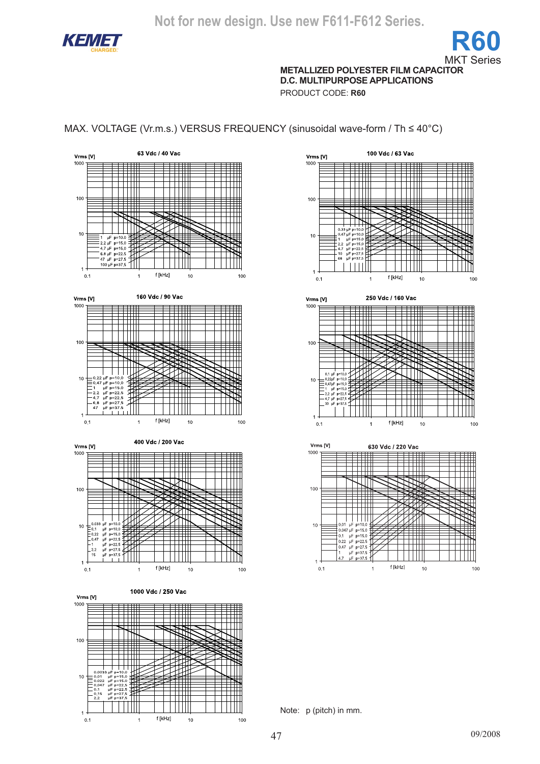

**METALLIZED POLYESTER FILM CAPACITOR D.C. MULTIPURPOSE APPLICATIONS**

PRODUCT CODE: **R60**

### MAX. VOLTAGE (Vr.m.s.) VERSUS FREQUENCY (sinusoidal wave-form / Th ≤ 40°C)





Note: p (pitch) in mm.